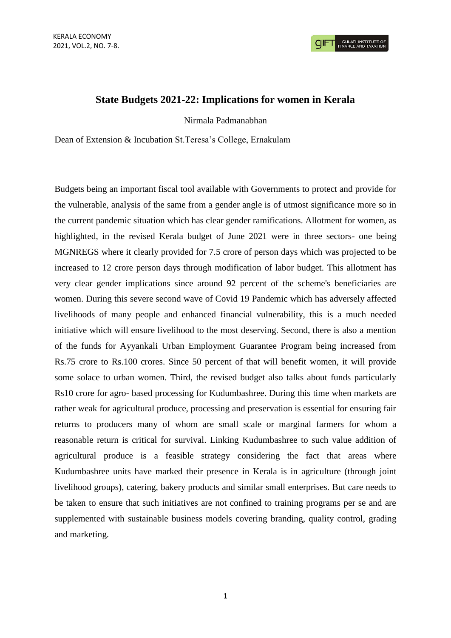**GULATI INSTITUTE C**<br>FINANCE AND TAXATIO

## **State Budgets 2021-22: Implications for women in Kerala**

Nirmala Padmanabhan

Dean of Extension & Incubation St.Teresa's College, Ernakulam

Budgets being an important fiscal tool available with Governments to protect and provide for the vulnerable, analysis of the same from a gender angle is of utmost significance more so in the current pandemic situation which has clear gender ramifications. Allotment for women, as highlighted, in the revised Kerala budget of June 2021 were in three sectors- one being MGNREGS where it clearly provided for 7.5 crore of person days which was projected to be increased to 12 crore person days through modification of labor budget. This allotment has very clear gender implications since around 92 percent of the scheme's beneficiaries are women. During this severe second wave of Covid 19 Pandemic which has adversely affected livelihoods of many people and enhanced financial vulnerability, this is a much needed initiative which will ensure livelihood to the most deserving. Second, there is also a mention of the funds for Ayyankali Urban Employment Guarantee Program being increased from Rs.75 crore to Rs.100 crores. Since 50 percent of that will benefit women, it will provide some solace to urban women. Third, the revised budget also talks about funds particularly Rs10 crore for agro- based processing for Kudumbashree. During this time when markets are rather weak for agricultural produce, processing and preservation is essential for ensuring fair returns to producers many of whom are small scale or marginal farmers for whom a reasonable return is critical for survival. Linking Kudumbashree to such value addition of agricultural produce is a feasible strategy considering the fact that areas where Kudumbashree units have marked their presence in Kerala is in agriculture (through joint livelihood groups), catering, bakery products and similar small enterprises. But care needs to be taken to ensure that such initiatives are not confined to training programs per se and are supplemented with sustainable business models covering branding, quality control, grading and marketing.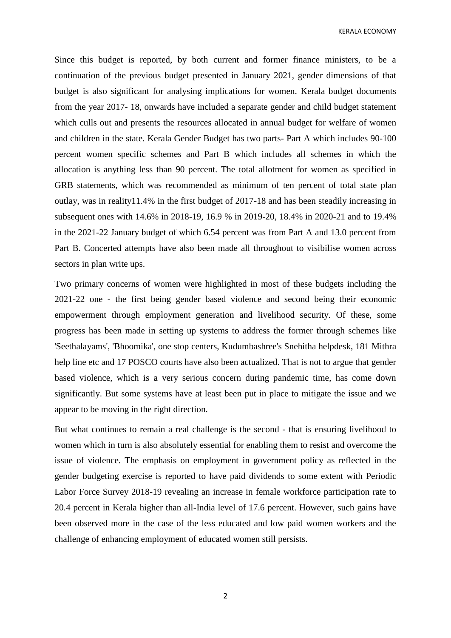KERALA ECONOMY

Since this budget is reported, by both current and former finance ministers, to be a continuation of the previous budget presented in January 2021, gender dimensions of that budget is also significant for analysing implications for women. Kerala budget documents from the year 2017- 18, onwards have included a separate gender and child budget statement which culls out and presents the resources allocated in annual budget for welfare of women and children in the state. Kerala Gender Budget has two parts- Part A which includes 90-100 percent women specific schemes and Part B which includes all schemes in which the allocation is anything less than 90 percent. The total allotment for women as specified in GRB statements, which was recommended as minimum of ten percent of total state plan outlay, was in reality11.4% in the first budget of 2017-18 and has been steadily increasing in subsequent ones with 14.6% in 2018-19, 16.9 % in 2019-20, 18.4% in 2020-21 and to 19.4% in the 2021-22 January budget of which 6.54 percent was from Part A and 13.0 percent from Part B. Concerted attempts have also been made all throughout to visibilise women across sectors in plan write ups.

Two primary concerns of women were highlighted in most of these budgets including the 2021-22 one - the first being gender based violence and second being their economic empowerment through employment generation and livelihood security. Of these, some progress has been made in setting up systems to address the former through schemes like 'Seethalayams', 'Bhoomika', one stop centers, Kudumbashree's Snehitha helpdesk, 181 Mithra help line etc and 17 POSCO courts have also been actualized. That is not to argue that gender based violence, which is a very serious concern during pandemic time, has come down significantly. But some systems have at least been put in place to mitigate the issue and we appear to be moving in the right direction.

But what continues to remain a real challenge is the second - that is ensuring livelihood to women which in turn is also absolutely essential for enabling them to resist and overcome the issue of violence. The emphasis on employment in government policy as reflected in the gender budgeting exercise is reported to have paid dividends to some extent with Periodic Labor Force Survey 2018-19 revealing an increase in female workforce participation rate to 20.4 percent in Kerala higher than all-India level of 17.6 percent. However, such gains have been observed more in the case of the less educated and low paid women workers and the challenge of enhancing employment of educated women still persists.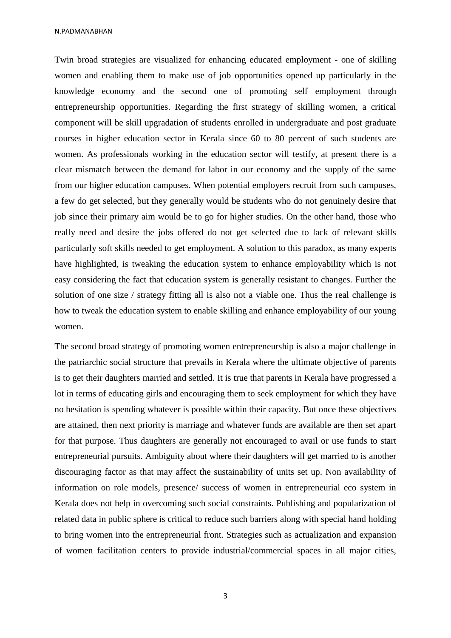N.PADMANABHAN

Twin broad strategies are visualized for enhancing educated employment - one of skilling women and enabling them to make use of job opportunities opened up particularly in the knowledge economy and the second one of promoting self employment through entrepreneurship opportunities. Regarding the first strategy of skilling women, a critical component will be skill upgradation of students enrolled in undergraduate and post graduate courses in higher education sector in Kerala since 60 to 80 percent of such students are women. As professionals working in the education sector will testify, at present there is a clear mismatch between the demand for labor in our economy and the supply of the same from our higher education campuses. When potential employers recruit from such campuses, a few do get selected, but they generally would be students who do not genuinely desire that job since their primary aim would be to go for higher studies. On the other hand, those who really need and desire the jobs offered do not get selected due to lack of relevant skills particularly soft skills needed to get employment. A solution to this paradox, as many experts have highlighted, is tweaking the education system to enhance employability which is not easy considering the fact that education system is generally resistant to changes. Further the solution of one size / strategy fitting all is also not a viable one. Thus the real challenge is how to tweak the education system to enable skilling and enhance employability of our young women.

The second broad strategy of promoting women entrepreneurship is also a major challenge in the patriarchic social structure that prevails in Kerala where the ultimate objective of parents is to get their daughters married and settled. It is true that parents in Kerala have progressed a lot in terms of educating girls and encouraging them to seek employment for which they have no hesitation is spending whatever is possible within their capacity. But once these objectives are attained, then next priority is marriage and whatever funds are available are then set apart for that purpose. Thus daughters are generally not encouraged to avail or use funds to start entrepreneurial pursuits. Ambiguity about where their daughters will get married to is another discouraging factor as that may affect the sustainability of units set up. Non availability of information on role models, presence/ success of women in entrepreneurial eco system in Kerala does not help in overcoming such social constraints. Publishing and popularization of related data in public sphere is critical to reduce such barriers along with special hand holding to bring women into the entrepreneurial front. Strategies such as actualization and expansion of women facilitation centers to provide industrial/commercial spaces in all major cities,